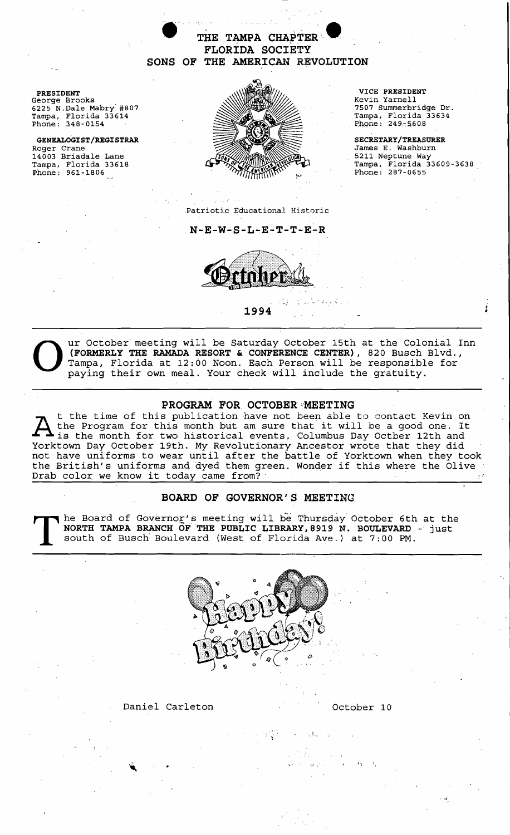**e**<br>
THE TAMPA CHAPTER<br>
FLORIDA SOCIETY<br>
SONS OF THE AMERICAN REVOLUTION **FLORIDA SOCIETY** 

6225 N.Dale Mabry #807<br>Tampa, Florida 33614 Phone:  $348 - 0154$ 

14003 Briadale Lane<br>Tampa, Florida 33618 Phone:  $961 - 1806$ 



Tampa, Florida 33634<br>Phone: 249-5608

James E. Washburn<br>5211 Neptune Way Tampa, Florida 33609-3638<br>Phone: 287-0655

Patriotic Educational Historic

N-E-W-S-L-E-T~T-E-R



**1994** 



UNITED SATURE OCTOBER THE RAMADA RESORT & CONFERENCE CENTER), 820 Busch Blvd., Tampa, Florida at 12:00 Noon. Each Person will be responsible for paying their own meal. Your check will include the gratuity. **(FORMERLY THE RAMADA RESORT & CONFERENCE CENTER),** 820 Busch Blvd., Tampa, Florida at 12:00 Noon. Each Person will be responsible for paying their own meal. Your check will. include the gratuity.

'. J . .~

## **PROGRAM FOR OCTOBER'MEETING**

t the time of this publication have not been able to contact Kevin on the Program for this month but am sure that it will be a good one. It is the month for two historical events. Columbus Day Octber 12th and Yorktown Day October 19th. My Revolutionary Ancestor wrote that they did not have uniforms to wear until after the battle of Yorktown when they took the British's uniforms and dyed them green. Wonder if this where the Olive<br>Drab color we know it today came from? The time of this publication have not been able to contact Kevin on<br>the Program for this month but am sure that it will be a good one. It<br>Yorktown Day October 19th. My Revolutionary Ancestor wrote that they did<br>not have un

# **BOARD OF GOVERNOR'S MEETING**

The Board of Governor's meeting will be Thursday October 6th at the NORTH TAMPA BRANCH OF THE PUBLIC LIBRARY, 8919 N. BOULEVARD - just south of Busch Boulevard (West of Florida Ave.) at 7:00 PM. **NORTH TAMPA BRANCH OF THE PUBLIC LIBRARY l 8919** *N..* **BOULEVARD** - just south of Busch Boulevard (West of Florida Ave.) at 7:00 PM.



 $\mathbb{Z} \bigl( \frac{1}{2} \mathbb{Z} \bigr) = \mathbb{Z} \bigl( \frac{1}{2} \mathbb{Z} \bigr) = \mathbb{Z} \bigl( \frac{1}{2} \mathbb{Z} \bigr)$ 

### Daniel Carleton **Carleton** Cotober 10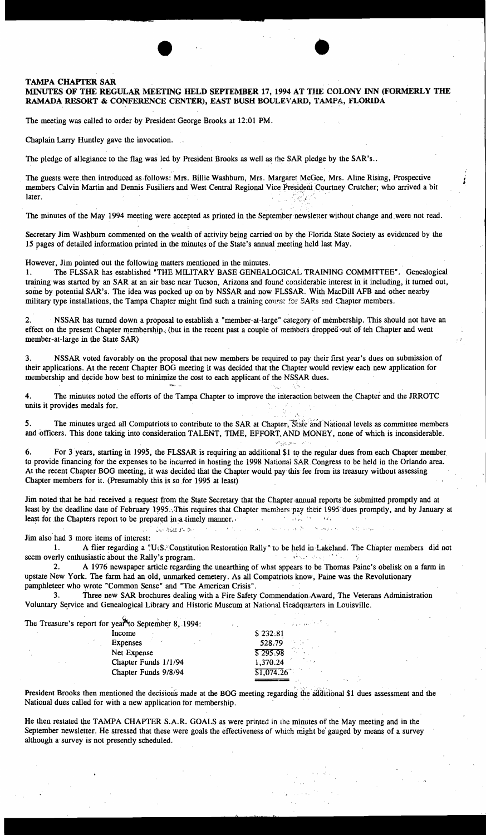### TAMPA CHAYfER SAR

## MINUTES OF THE REGULAR MEETING HELD SEPTEMBER 17,1994 AT THE COLONY INN (FORMERLY THE RAMADA RESORT & CONFERENCE CENTER), EAST BUSH BOULEVARD, TAMPA, FLORIDA

•

The meeting was called to order by President George Brooks at 12:01 PM.

Chaplain Larry Huntley gave the invocation.

The pledge of allegiance to the flag was led by President Brooks as well as the SAR pledge by the SAR's..

t George Brooks at 12:01 PM.<br>
by President Brooks as well as the SAR pledge by the S<br>
Mrs. Billie Washburn, Mrs. Margaret McGee, Mrs. Al The guests were then introduced as follows: Mrs. Billie Washburn, Mrs. Margaret McGee, Mrs. Aline Rising, Prospective members Calvin Martin and Dennis Fusiliers and West Central Regional Vice President Courtney Crutcher; who arrived a bit Chaplain Larry Huntley gave the invocation.<br>The pledge of allegiance to the flag was led by President Brooks as well as the SAR pledge by<br>The guests were then introduced as follows: Mrs. Billie Washburn, Mrs. Margaret McGe

The minutes of the May 1994 meeting were accepted as printed in the September newsletter without change and,were not read.

Secretary Jim Washburn commented on the wealth of activity being carried On by the Florida State Society as evidenced by the 15 pages of detailed information printed in the minutes of the State's annual meeting held last May.

However, Jim pointed out the following matters mentioned in the minutes.

1. The FLSSAR has established "THE MILITARY BASE GENEALOGICAL TRAINING COMMITTEE". Genealogical training was started by an SAR at an air base near Tucson, Arizona and found considerable interest in it including, it turned out, some by potential SAR's. The idea was pocked up on by NSSAR and now FLSSAR. With MacDill AFB and other nearby military type installations, the Tampa Chapter might find such a training course for SARs and Chapter members.

2. NSSAR has turned down a proposal to establish a "member-at-large" category of membership. This should not have an effect on the present Chapter membership.; (but in the recent past a couple of members dropped out of teh Chapter and went member-at-large in the State SAR)

3. NSSAR voted favorably on the proposal that new members be required to pay their first year's dues on submission of their applications. At the recent Chapter BOG meeting it was decided that the Chapter would review each new application for membership and decide how best to minimize the cost to each applicant of the NSSAR dues.

4. The minutes noted the efforts of the Tampa Chapter to improve the interaction between the Chapter and the JRROTC units it provides medals for.

5. The minutes urged all Compatriots to contribute to the SAR at Chapter, State and National levels as committee members and officers. This done taking into consideration TALENT, TIME, EFFORT, AND MONEY, none of which is inconsiderable.

بالأزراء المحرازي وألماهم

Robert Louis

 $S$  and  $\tilde{S}$  .

6. For 3 years, starting in 1995, the FLSSAR is requiring an additional \$1 to the regular dues from each Chapter member to provide fmancing for the expenses to be incurred in hosting the 1998 National SAR Congress to be held in the Orlando area. At the recent Chapter BOG meeting, it was decided that the Chapter would pay this fee from its treasury without assessing Chapter members for it. (Presumably this is so for 1995 at least)

Jim noted that he had received a request from the State Secretary that the Chapter annual reports be submitted promptly and at least by the deadline date of February 1995., This requires that Chapter members pay their 1995 dues promptly, and by January at least for the Chapters report to be prepared in :uimely manner. . ., ,.: ' i ;

#### Jim also had 3 more items of interest:

1. A flier regarding a "U:S.' Constitution Restoration Rally" to be held in Lakeland. The Chapter members did not erly enthusiastic about the Rally's program. seem overly enthusiastic about the Rally's program.

2. A 1976 newspaper article regarding the unearthing of what appears to be Thomas Paine's obelisk on a farm in upstate New York. The farm had an old, unmarked cemetery. As all Compatriots know, Paine was the Revolutionary pamphleteer who wrote "Common Sense" and "The American Crisis".

3. Three new SAR brochures dealing with a Fire Safety Commendation Award, The Veterans Administration Voluntary Service and Genealogical Library and Historic Museum at National Headquarters in Louisville.

The Treasure's report for yea<sup> $M$ </sup> September 8, 1994:

| $\sim$ reason step of for year to september 0, 1994. |                                                                                                   |
|------------------------------------------------------|---------------------------------------------------------------------------------------------------|
| Income                                               | \$232.81                                                                                          |
| Expenses                                             | $\mathcal{F}^{\mathcal{G}}_{\mathcal{A}}$ , $\mathcal{F}^{\mathcal{G}}_{\mathcal{A}}$ ,<br>528.79 |
| Net Expense                                          | \$295.98<br><b>SALE</b>                                                                           |
| Chapter Funds 1/1/94                                 | <b>Service</b><br>1,370.24                                                                        |
| Chapter Funds 9/8/94                                 | \$1,074.26                                                                                        |
|                                                      |                                                                                                   |

**Contraction** 

President Brooks then mentioned the decisions made at the BOG meeting regarding the additional \$1 dues assessment and the National dues called for with a new application for membership.

He then restated the TAMPA CHAPTER S.A.R. GOALS as were printed in the minutes of the May meeting and in the September newsletter. He stressed that these were goals the effectiveness of which might be gauged by means of a survey although a survey is not presently scheduled. .